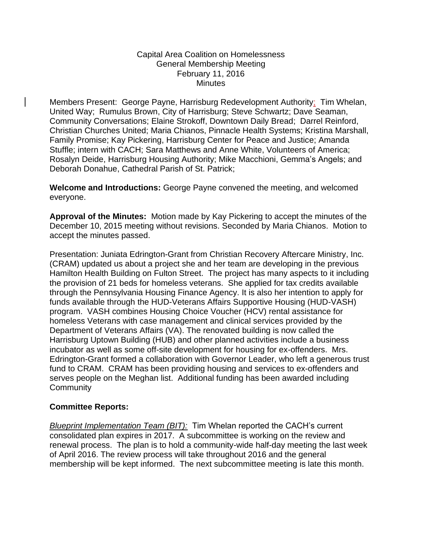## Capital Area Coalition on Homelessness General Membership Meeting February 11, 2016 **Minutes**

Members Present: George Payne, Harrisburg Redevelopment Authority; Tim Whelan, United Way; Rumulus Brown, City of Harrisburg; Steve Schwartz; Dave Seaman, Community Conversations; Elaine Strokoff, Downtown Daily Bread; Darrel Reinford, Christian Churches United; Maria Chianos, Pinnacle Health Systems; Kristina Marshall, Family Promise; Kay Pickering, Harrisburg Center for Peace and Justice; Amanda Stuffle; intern with CACH; Sara Matthews and Anne White, Volunteers of America; Rosalyn Deide, Harrisburg Housing Authority; Mike Macchioni, Gemma's Angels; and Deborah Donahue, Cathedral Parish of St. Patrick;

**Welcome and Introductions:** George Payne convened the meeting, and welcomed everyone.

**Approval of the Minutes:** Motion made by Kay Pickering to accept the minutes of the December 10, 2015 meeting without revisions. Seconded by Maria Chianos. Motion to accept the minutes passed.

Presentation: Juniata Edrington-Grant from Christian Recovery Aftercare Ministry, Inc. (CRAM) updated us about a project she and her team are developing in the previous Hamilton Health Building on Fulton Street. The project has many aspects to it including the provision of 21 beds for homeless veterans. She applied for tax credits available through the Pennsylvania Housing Finance Agency. It is also her intention to apply for funds available through the HUD-Veterans Affairs Supportive Housing (HUD-VASH) program. VASH combines Housing Choice Voucher (HCV) rental assistance for homeless Veterans with case management and clinical services provided by the Department of Veterans Affairs (VA). The renovated building is now called the Harrisburg Uptown Building (HUB) and other planned activities include a business incubator as well as some off-site development for housing for ex-offenders. Mrs. Edrington-Grant formed a collaboration with Governor Leader, who left a generous trust fund to CRAM. CRAM has been providing housing and services to ex-offenders and serves people on the Meghan list. Additional funding has been awarded including **Community** 

## **Committee Reports:**

*Blueprint Implementation Team (BIT):* Tim Whelan reported the CACH's current consolidated plan expires in 2017. A subcommittee is working on the review and renewal process. The plan is to hold a community-wide half-day meeting the last week of April 2016. The review process will take throughout 2016 and the general membership will be kept informed. The next subcommittee meeting is late this month.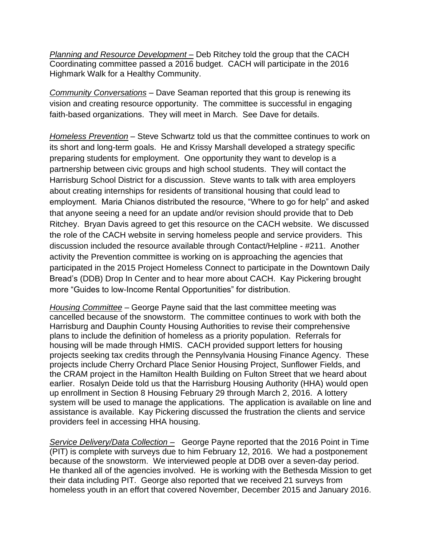*Planning and Resource Development –* Deb Ritchey told the group that the CACH Coordinating committee passed a 2016 budget. CACH will participate in the 2016 Highmark Walk for a Healthy Community.

*Community Conversations* – Dave Seaman reported that this group is renewing its vision and creating resource opportunity. The committee is successful in engaging faith-based organizations. They will meet in March. See Dave for details.

*Homeless Prevention* – Steve Schwartz told us that the committee continues to work on its short and long-term goals. He and Krissy Marshall developed a strategy specific preparing students for employment. One opportunity they want to develop is a partnership between civic groups and high school students. They will contact the Harrisburg School District for a discussion. Steve wants to talk with area employers about creating internships for residents of transitional housing that could lead to employment. Maria Chianos distributed the resource, "Where to go for help" and asked that anyone seeing a need for an update and/or revision should provide that to Deb Ritchey. Bryan Davis agreed to get this resource on the CACH website. We discussed the role of the CACH website in serving homeless people and service providers. This discussion included the resource available through Contact/Helpline - #211. Another activity the Prevention committee is working on is approaching the agencies that participated in the 2015 Project Homeless Connect to participate in the Downtown Daily Bread's (DDB) Drop In Center and to hear more about CACH. Kay Pickering brought more "Guides to low-Income Rental Opportunities" for distribution.

*Housing Committee* – George Payne said that the last committee meeting was cancelled because of the snowstorm. The committee continues to work with both the Harrisburg and Dauphin County Housing Authorities to revise their comprehensive plans to include the definition of homeless as a priority population. Referrals for housing will be made through HMIS. CACH provided support letters for housing projects seeking tax credits through the Pennsylvania Housing Finance Agency. These projects include Cherry Orchard Place Senior Housing Project, Sunflower Fields, and the CRAM project in the Hamilton Health Building on Fulton Street that we heard about earlier. Rosalyn Deide told us that the Harrisburg Housing Authority (HHA) would open up enrollment in Section 8 Housing February 29 through March 2, 2016. A lottery system will be used to manage the applications. The application is available on line and assistance is available. Kay Pickering discussed the frustration the clients and service providers feel in accessing HHA housing.

*Service Delivery/Data Collection –* George Payne reported that the 2016 Point in Time (PIT) is complete with surveys due to him February 12, 2016. We had a postponement because of the snowstorm. We interviewed people at DDB over a seven-day period. He thanked all of the agencies involved. He is working with the Bethesda Mission to get their data including PIT. George also reported that we received 21 surveys from homeless youth in an effort that covered November, December 2015 and January 2016.